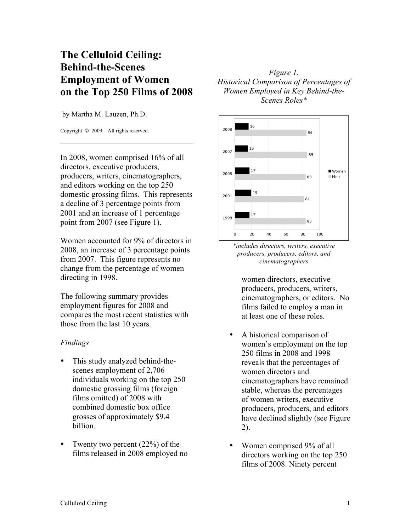## **The Celluloid Ceiling: Behind-the-Scenes Employment of Women on the Top 250 Films of 2008**

by Martha M. Lauzen, Ph.D.

Copyright © 2009 – All rights reserved.

In 2008, women comprised 16% of all directors, executive producers, producers, writers, cinematographers, and editors working on the top 250 domestic grossing films. This represents a decline of 3 percentage points from 2001 and an increase of 1 percentage point from 2007 (see Figure 1).

 $\mathcal{L}_\text{max}$  , where  $\mathcal{L}_\text{max}$  is the set of the set of the set of the set of the set of the set of the set of the set of the set of the set of the set of the set of the set of the set of the set of the set of the se

Women accounted for 9% of directors in 2008, an increase of 3 percentage points from 2007. This figure represents no change from the percentage of women directing in 1998.

The following summary provides employment figures for 2008 and compares the most recent statistics with those from the last 10 years.

## *Findings*

- This study analyzed behind-thescenes employment of 2,706 individuals working on the top 250 domestic grossing films (foreign films omitted) of 2008 with combined domestic box office grosses of approximately \$9.4 billion.
- Twenty two percent  $(22%)$  of the films released in 2008 employed no

*Figure 1. Historical Comparison of Percentages of Women Employed in Key Behind-the-Scenes Roles\**



*\*includes directors, writers, executive producers, producers, editors, and cinematographers*

women directors, executive producers, producers, writers, cinematographers, or editors. No films failed to employ a man in at least one of these roles.

- A historical comparison of women's employment on the top 250 films in 2008 and 1998 reveals that the percentages of women directors and cinematographers have remained stable, whereas the percentages of women writers, executive producers, producers, and editors have declined slightly (see Figure 2).
- Women comprised 9% of all directors working on the top 250 films of 2008. Ninety percent